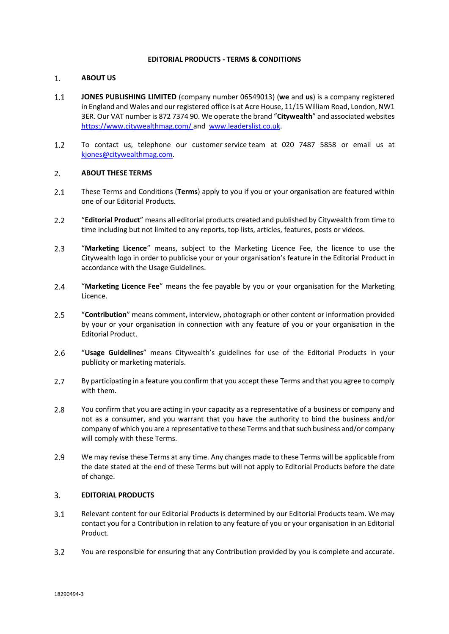# **EDITORIAL PRODUCTS - TERMS & CONDITIONS**

#### $1.$ **ABOUT US**

- $1.1$ **JONES PUBLISHING LIMITED** (company number 06549013) (**we** and **us**) is a company registered in England and Wales and our registered office is at Acre House, 11/15 William Road, London, NW1 3ER. Our VAT number is 872 7374 90. We operate the brand "**Citywealth**" and associated websites <https://www.citywealthmag.com/> and [www.leaderslist.co.uk.](http://www.leaderslist.co.uk/)
- $1.2$ To contact us, telephone our customer service team at 020 7487 5858 or email us at [kjones@citywealthmag.com.](mailto:kjones@citywealthmag.com)

#### $2.$ **ABOUT THESE TERMS**

- $2.1$ These Terms and Conditions (**Terms**) apply to you if you or your organisation are featured within one of our Editorial Products.
- $2.2^{\circ}$ "**Editorial Product**" means all editorial products created and published by Citywealth from time to time including but not limited to any reports, top lists, articles, features, posts or videos.
- $2.3$ "**Marketing Licence**" means, subject to the Marketing Licence Fee, the licence to use the Citywealth logo in order to publicise your or your organisation's feature in the Editorial Product in accordance with the Usage Guidelines.
- $2.4$ "**Marketing Licence Fee**" means the fee payable by you or your organisation for the Marketing Licence.
- $2.5$ "**Contribution**" means comment, interview, photograph or other content or information provided by your or your organisation in connection with any feature of you or your organisation in the Editorial Product.
- $2.6$ "**Usage Guidelines**" means Citywealth's guidelines for use of the Editorial Products in your publicity or marketing materials.
- $2.7$ By participating in a feature you confirm that you accept these Terms and that you agree to comply with them.
- $2.8$ You confirm that you are acting in your capacity as a representative of a business or company and not as a consumer, and you warrant that you have the authority to bind the business and/or company of which you are a representative to these Terms and that such business and/or company will comply with these Terms.
- 2.9 We may revise these Terms at any time. Any changes made to these Terms will be applicable from the date stated at the end of these Terms but will not apply to Editorial Products before the date of change.

### $\overline{3}$ . **EDITORIAL PRODUCTS**

- Relevant content for our Editorial Products is determined by our Editorial Products team. We may  $3.1$ contact you for a Contribution in relation to any feature of you or your organisation in an Editorial Product.
- You are responsible for ensuring that any Contribution provided by you is complete and accurate. $3.2$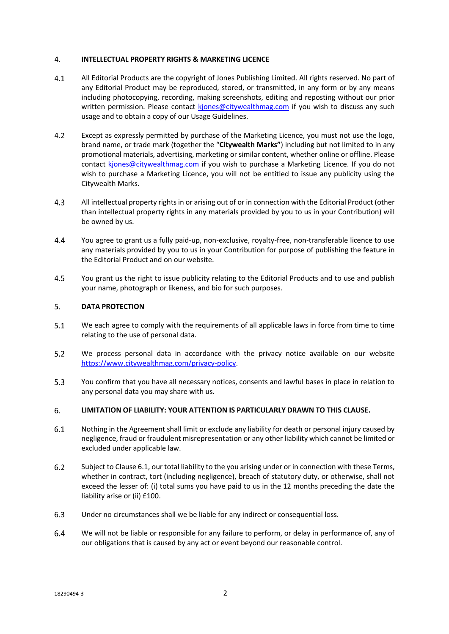#### 4. **INTELLECTUAL PROPERTY RIGHTS & MARKETING LICENCE**

- $4.1$ All Editorial Products are the copyright of Jones Publishing Limited. All rights reserved. No part of any Editorial Product may be reproduced, stored, or transmitted, in any form or by any means including photocopying, recording, making screenshots, editing and reposting without our prior written permission. Please contact kjones@citywealthmag.com if you wish to discuss any such usage and to obtain a copy of our Usage Guidelines.
- $4.2$ Except as expressly permitted by purchase of the Marketing Licence, you must not use the logo, brand name, or trade mark (together the "**Citywealth Marks"**) including but not limited to in any promotional materials, advertising, marketing or similar content, whether online or offline. Please contact kjones@citywealthmag.com if you wish to purchase a Marketing Licence. If you do not wish to purchase a Marketing Licence, you will not be entitled to issue any publicity using the Citywealth Marks.
- $4.3$ All intellectual property rights in or arising out of or in connection with the Editorial Product (other than intellectual property rights in any materials provided by you to us in your Contribution) will be owned by us.
- 4.4 You agree to grant us a fully paid-up, non-exclusive, royalty-free, non-transferable licence to use any materials provided by you to us in your Contribution for purpose of publishing the feature in the Editorial Product and on our website.
- $4.5$ You grant us the right to issue publicity relating to the Editorial Products and to use and publish your name, photograph or likeness, and bio for such purposes.

#### 5. **DATA PROTECTION**

- $5.1$ We each agree to comply with the requirements of all applicable laws in force from time to time relating to the use of personal data.
- $5.2$ We process personal data in accordance with the privacy notice available on our website https://www.citywealthmag.com/privacy-policy.
- $5.3$ You confirm that you have all necessary notices, consents and lawful bases in place in relation to any personal data you may share with us.

### 6. **LIMITATION OF LIABILITY: YOUR ATTENTION IS PARTICULARLY DRAWN TO THIS CLAUSE.**

- $6.1$ Nothing in the Agreement shall limit or exclude any liability for death or personal injury caused by negligence, fraud or fraudulent misrepresentation or any other liability which cannot be limited or excluded under applicable law.
- $6.2$ Subject to Clause 6.1, our total liability to the you arising under or in connection with these Terms, whether in contract, tort (including negligence), breach of statutory duty, or otherwise, shall not exceed the lesser of: (i) total sums you have paid to us in the 12 months preceding the date the liability arise or (ii) £100.
- $6.3$ Under no circumstances shall we be liable for any indirect or consequential loss.
- $6.4$ We will not be liable or responsible for any failure to perform, or delay in performance of, any of our obligations that is caused by any act or event beyond our reasonable control.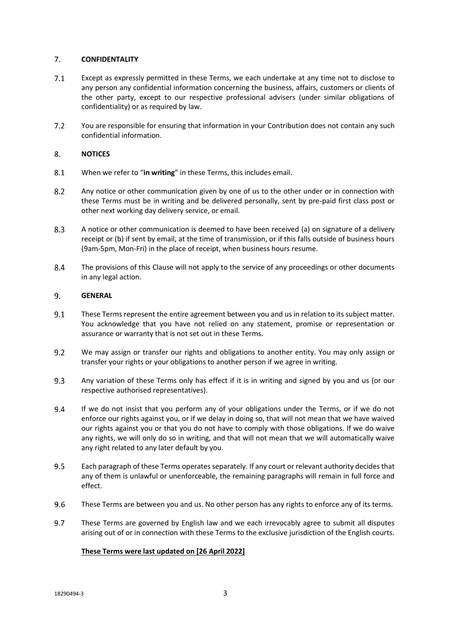#### $7.$ **CONFIDENTALITY**

- $7.1$ Except as expressly permitted in these Terms, we each undertake at any time not to disclose to any person any confidential information concerning the business, affairs, customers or clients of the other party, except to our respective professional advisers (under similar obligations of confidentiality) or as required by law.
- $7.2$ You are responsible for ensuring that information in your Contribution does not contain any such confidential information.

#### $8<sub>1</sub>$ **NOTICES**

- $8.1$ When we refer to "**in writing**" in these Terms, this includes email.
- $8.2$ Any notice or other communication given by one of us to the other under or in connection with these Terms must be in writing and be delivered personally, sent by pre-paid first class post or other next working day delivery service, or email.
- $8.3$ A notice or other communication is deemed to have been received (a) on signature of a delivery receipt or (b) if sent by email, at the time of transmission, or if this falls outside of business hours (9am-5pm, Mon-Fri) in the place of receipt, when business hours resume.
- $8.4$ The provisions of this Clause will not apply to the service of any proceedings or other documents in any legal action.

### 9. **GENERAL**

- $9.1$ These Terms represent the entire agreement between you and us in relation to its subject matter. You acknowledge that you have not relied on any statement, promise or representation or assurance or warranty that is not set out in these Terms.
- $9.2$ We may assign or transfer our rights and obligations to another entity. You may only assign or transfer your rights or your obligations to another person if we agree in writing.
- $9.3$ Any variation of these Terms only has effect if it is in writing and signed by you and us (or our respective authorised representatives).
- $9.4$ If we do not insist that you perform any of your obligations under the Terms, or if we do not enforce our rights against you, or if we delay in doing so, that will not mean that we have waived our rights against you or that you do not have to comply with those obligations. If we do waive any rights, we will only do so in writing, and that will not mean that we will automatically waive any right related to any later default by you.
- $9.5$ Each paragraph of these Terms operates separately. If any court or relevant authority decides that any of them is unlawful or unenforceable, the remaining paragraphs will remain in full force and effect.
- 9.6 These Terms are between you and us. No other person has any rights to enforce any of its terms.
- 9.7 These Terms are governed by English law and we each irrevocably agree to submit all disputes arising out of or in connection with these Terms to the exclusive jurisdiction of the English courts.

# **These Terms were last updated on [26 April 2022]**